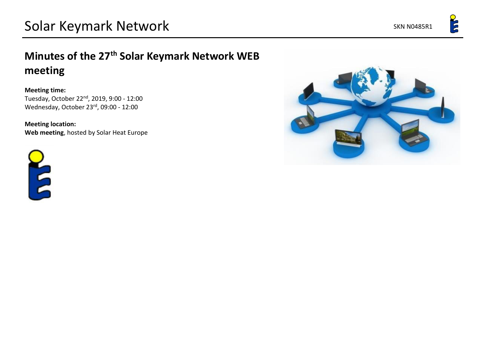E

## **Minutes of the 27th Solar Keymark Network WEB meeting**

## **Meeting time:**

Tuesday, October 22nd, 2019, 9:00 - 12:00 Wednesday, October 23rd, 09:00 - 12:00

**Meeting location: Web meeting**, hosted by Solar Heat Europe



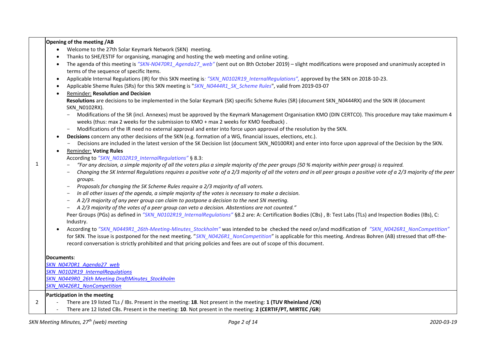|   | Welcome to the 27th Solar Keymark Network (SKN) meeting.                                                                                                                                                                                                                          |
|---|-----------------------------------------------------------------------------------------------------------------------------------------------------------------------------------------------------------------------------------------------------------------------------------|
|   | Thanks to SHE/ESTIF for organising, managing and hosting the web meeting and online voting.                                                                                                                                                                                       |
|   | The agenda of this meeting is "SKN-N0470R1_Agenda27_web" (sent out on 8th October 2019) - slight modifications were proposed and unanimusly accepted in<br>terms of the sequence of specific Items.                                                                               |
|   | Applicable Internal Regulations (IR) for this SKN meeting is: "SKN_N0102R19_InternalRegulations", approved by the SKN on 2018-10-23.<br>$\bullet$                                                                                                                                 |
|   | Applicable Sheme Rules (SRs) for this SKN meeting is "SKN N0444R1 SK Scheme Rules", valid from 2019-03-07                                                                                                                                                                         |
|   | <b>Reminder: Resolution and Decision</b>                                                                                                                                                                                                                                          |
|   | Resolutions are decisions to be implemented in the Solar Keymark (SK) specific Scheme Rules (SR) (document SKN_N0444RX) and the SKN IR (document<br>SKN_N0102RX).                                                                                                                 |
|   | Modifications of the SR (incl. Annexes) must be approved by the Keymark Management Organisation KMO (DIN CERTCO). This procedure may take maximum 4<br>weeks (thus: max 2 weeks for the submission to KMO + max 2 weeks for KMO feedback).                                        |
|   | Modifications of the IR need no external approval and enter into force upon approval of the resolution by the SKN.                                                                                                                                                                |
|   | Decisions concern any other decisions of the SKN (e.g. formation of a WG, financial issues, elections, etc.).                                                                                                                                                                     |
|   | Decisions are included in the latest version of the SK Decision list (document SKN_N0100RX) and enter into force upon approval of the Decision by the SKN.                                                                                                                        |
|   | <b>Reminder: Voting Rules</b>                                                                                                                                                                                                                                                     |
|   | According to "SKN_N0102R19_InternalRegulations" § 8.3:                                                                                                                                                                                                                            |
| 1 | "For any decision, a simple majority of all the voters plus a simple majority of the peer groups (50 % majority within peer group) is required.                                                                                                                                   |
|   | Changing the SK Internal Regulations requires a positive vote of a 2/3 majority of all the voters and in all peer groups a positive vote of a 2/3 majority of the peer<br>groups.                                                                                                 |
|   | Proposals for changing the SK Scheme Rules require a 2/3 majority of all voters.                                                                                                                                                                                                  |
|   | In all other issues of the agenda, a simple majority of the votes is necessary to make a decision.                                                                                                                                                                                |
|   | A 2/3 majority of any peer group can claim to postpone a decision to the next SN meeting.                                                                                                                                                                                         |
|   | A 2/3 majority of the votes of a peer group can veto a decision. Abstentions are not counted."                                                                                                                                                                                    |
|   | Peer Groups (PGs) as defined in "SKN_N0102R19_InternalRegulations" §8.2 are: A: Certification Bodies (CBs), B: Test Labs (TLs) and Inspection Bodies (IBs), C:<br>Industry.                                                                                                       |
|   | According to "SKN N0449R1 26th-Meeting-Minutes Stockholm" was intended to be checked the need or/and modification of "SKN N0426R1 NonCompetition"                                                                                                                                 |
|   | for SKN. The issue is postponed for the next meeting. "SKN_N0426R1_NonCompetition" is applicable for this meeting. Andreas Bohren (AB) stressed that off-the-<br>record conversation is strictly prohibited and that pricing policies and fees are out of scope of this document. |
|   | Documents:                                                                                                                                                                                                                                                                        |
|   | SKN N0470R1 Agenda27 web                                                                                                                                                                                                                                                          |
|   | <b>SKN N0102R19 InternalRegulations</b>                                                                                                                                                                                                                                           |
|   | SKN N0449R0_26th Meeting DraftMinutes Stockholm                                                                                                                                                                                                                                   |
|   | <b>SKN N0426R1 NonCompetition</b>                                                                                                                                                                                                                                                 |
|   | Participation in the meeting                                                                                                                                                                                                                                                      |
| 2 | There are 19 listed TLs / IBs. Present in the meeting: 18. Not present in the meeting: 1 (TUV Rheinland /CN)<br>$\blacksquare$                                                                                                                                                    |

**Opening of the meeting /AB**

- There are 12 listed CBs. Present in the meeting: **10**. Not present in the meeting: **2 (CERTIF/PT, MIRTEC /GR**)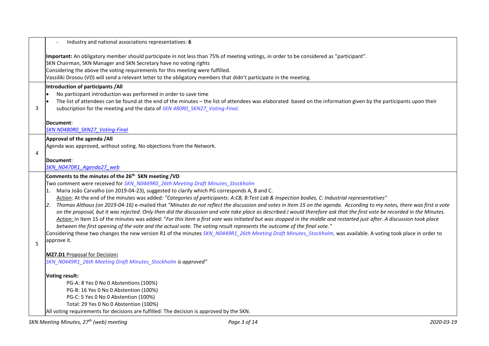|   | Industry and national associations representatives: 6                                                                                                                                                                                                                                                                                                                                                                                                                                                                                                                                                                                                                                                                                                                                                                                                                                                                                                                                                                                                                                                                                                                                                                                                                                                                                                   |  |  |  |  |  |
|---|---------------------------------------------------------------------------------------------------------------------------------------------------------------------------------------------------------------------------------------------------------------------------------------------------------------------------------------------------------------------------------------------------------------------------------------------------------------------------------------------------------------------------------------------------------------------------------------------------------------------------------------------------------------------------------------------------------------------------------------------------------------------------------------------------------------------------------------------------------------------------------------------------------------------------------------------------------------------------------------------------------------------------------------------------------------------------------------------------------------------------------------------------------------------------------------------------------------------------------------------------------------------------------------------------------------------------------------------------------|--|--|--|--|--|
|   | Important: An obligatory member should participate in not less than 75% of meeting votings, in order to be considered as "participant".<br>SKN Chairman, SKN Manager and SKN Secretary have no voting rights<br>Considering the above the voting requirements for this meeting were fulfilled.<br>Vassiliki Drosou (VD) will send a relevant letter to the obligatory members that didn't participate in the meeting.                                                                                                                                                                                                                                                                                                                                                                                                                                                                                                                                                                                                                                                                                                                                                                                                                                                                                                                                   |  |  |  |  |  |
| 3 | Introduction of participants /All<br>No participant introduction was performed in order to save time<br>The list of attendees can be found at the end of the minutes - the list of attendees was elaborated based on the information given by the participants upon their<br>subscription for the meeting and the data of SKN 480RO_SKN27_Voting-Final.<br>Document:<br><b>SKN N0480R0 SKN27 Voting-Final</b>                                                                                                                                                                                                                                                                                                                                                                                                                                                                                                                                                                                                                                                                                                                                                                                                                                                                                                                                           |  |  |  |  |  |
| 4 | Approval of the agenda /All<br>Agenda was approved, without voting. No objections from the Network.<br>Document:<br>SKN N0470R1 Agenda27 web                                                                                                                                                                                                                                                                                                                                                                                                                                                                                                                                                                                                                                                                                                                                                                                                                                                                                                                                                                                                                                                                                                                                                                                                            |  |  |  |  |  |
| 5 | Comments to the minutes of the 26 <sup>th</sup> SKN meeting /VD<br>Two comment were received for SKN_N0449R0_26th Meeting Draft Minutes_Stockholm<br>Maria João Carvalho (on 2019-04-23), suggested to clarify which PG corresponds A, B and C.<br>Action: At the end of the minutes was added: "Categories of participants: A:CB, B:Test Lab & Inspection bodies, C: Industrial representatives"<br>Thomas Althaus (on 2019-04-16) e-mailed that "Minutes do not reflect the discussion and votes in Item 15 on the agenda. According to my notes, there was first a vote<br>2.<br>on the proposal, but it was rejected. Only then did the discussion and vote take place as described.I would therefore ask that the first vote be recorded in the Minutes.<br>Action: In Item 15 of the minutes was added: "For this Item a first vote was initiated but was stopped in the middle and restarted just after. A discussion took place<br>between the first opening of the vote and the actual vote. The voting result represents the outcome of the final vote."<br>Considering these two changes the new version R1 of the minutes SKN N0449R1 26th Meeting Draft Minutes Stockholm, was available. A voting took place in order to<br>approve it.<br>M27.D1 Proposal for Decision:<br>SKN N0449R1 26th Meeting Draft Minutes Stockholm is approved" |  |  |  |  |  |
|   | Voting result:<br>PG-A: 8 Yes 0 No 0 Abstentions (100%)<br>PG-B: 16 Yes 0 No 0 Abstention (100%)<br>PG-C: 5 Yes 0 No 0 Abstention (100%)<br>Total: 29 Yes 0 No 0 Abstention (100%)<br>All voting requirements for decisions are fulfilled: The decision is approved by the SKN.                                                                                                                                                                                                                                                                                                                                                                                                                                                                                                                                                                                                                                                                                                                                                                                                                                                                                                                                                                                                                                                                         |  |  |  |  |  |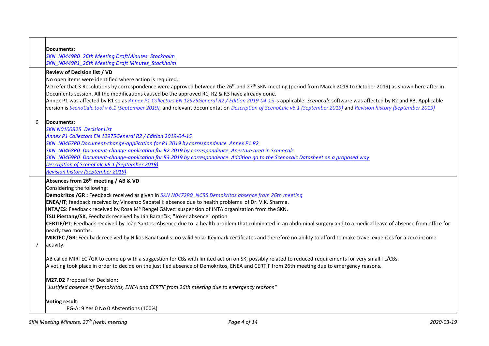|                                     | Documents:                                                                                                                                                                                |  |  |  |  |  |
|-------------------------------------|-------------------------------------------------------------------------------------------------------------------------------------------------------------------------------------------|--|--|--|--|--|
|                                     | <b>SKN N0449R0 26th Meeting DraftMinutes Stockholm</b>                                                                                                                                    |  |  |  |  |  |
|                                     | SKN N0449R1 26th Meeting Draft Minutes Stockholm                                                                                                                                          |  |  |  |  |  |
| <b>Review of Decision list / VD</b> |                                                                                                                                                                                           |  |  |  |  |  |
|                                     | No open items were identified where action is required.                                                                                                                                   |  |  |  |  |  |
|                                     | VD refer that 3 Resolutions by correspondence were approved between the 26 <sup>th</sup> and 27 <sup>th</sup> SKN meeting (period from March 2019 to October 2019) as shown here after in |  |  |  |  |  |
|                                     | Documents session. All the modifications caused be the approved R1, R2 & R3 have already done.                                                                                            |  |  |  |  |  |
|                                     | Annex P1 was affected by R1 so as Annex P1 Collectors EN 12975General R2 / Edition 2019-04-15 is applicable. Scenocalc software was affected by R2 and R3. Applicable                     |  |  |  |  |  |
|                                     | version is ScenoCalc tool v 6.1 (September 2019), and relevant documentation Description of ScenoCalc v6.1 (September 2019) and Revision history (September 2019)                         |  |  |  |  |  |
|                                     |                                                                                                                                                                                           |  |  |  |  |  |
| 6                                   | Documents:                                                                                                                                                                                |  |  |  |  |  |
|                                     | <b>SKN N0100R25 DecisionList</b>                                                                                                                                                          |  |  |  |  |  |
|                                     | Annex P1 Collectors EN 12975General R2 / Edition 2019-04-15                                                                                                                               |  |  |  |  |  |
|                                     | SKN_N0467R0 Document-change-application for R1 2019 by correspondence Annex P1 R2                                                                                                         |  |  |  |  |  |
|                                     | SKN N0468R0 Document-change-application for R2.2019 by correspondence Aperture area in Scenocalc                                                                                          |  |  |  |  |  |
|                                     | SKN N0469R0 Document-change-application for R3.2019 by correspondence Addition na to the Scenocalc Datasheet on a proposed way                                                            |  |  |  |  |  |
|                                     | Description of ScenoCalc v6.1 (September 2019)                                                                                                                                            |  |  |  |  |  |
|                                     | <b>Revision history (September 2019)</b>                                                                                                                                                  |  |  |  |  |  |
|                                     |                                                                                                                                                                                           |  |  |  |  |  |
|                                     | Absences from 26 <sup>th</sup> meeting / AB & VD                                                                                                                                          |  |  |  |  |  |
|                                     | Considering the following:                                                                                                                                                                |  |  |  |  |  |
|                                     | <b>Demokritos /GR</b> : Feedback received as given in SKN N0472R0_NCRS Demokritos absence from 26th meeting                                                                               |  |  |  |  |  |
|                                     | ENEA/IT; feedback received by Vincenzo Sabatelli: absence due to health problems of Dr. V.K. Sharma.                                                                                      |  |  |  |  |  |
|                                     | INTA/ES: Feedback received by Rosa M <sup>ª</sup> Rengel Gálvez: suspension of INTA organization from the SKN.                                                                            |  |  |  |  |  |
|                                     | TSU Piestany/SK, Feedback received by Ján Barančík; "Joker absence" option                                                                                                                |  |  |  |  |  |
|                                     | CERTIF/PT: Feedback received by João Santos: Absence due to a health problem that culminated in an abdominal surgery and to a medical leave of absence from office for                    |  |  |  |  |  |
|                                     | nearly two months.                                                                                                                                                                        |  |  |  |  |  |
|                                     | MIRTEC /GR: Feedback received by Nikos Kanatsoulis: no valid Solar Keymark certificates and therefore no ability to afford to make travel expenses for a zero income                      |  |  |  |  |  |
| $\overline{7}$                      | activity.                                                                                                                                                                                 |  |  |  |  |  |
|                                     |                                                                                                                                                                                           |  |  |  |  |  |
|                                     | AB called MIRTEC /GR to come up with a suggestion for CBs with limited action on SK, possibly related to reduced requirements for very small TL/CBs.                                      |  |  |  |  |  |
|                                     | A voting took place in order to decide on the justified absence of Demokritos, ENEA and CERTIF from 26th meeting due to emergency reasons.                                                |  |  |  |  |  |
|                                     | M27.D2 Proposal for Decision:                                                                                                                                                             |  |  |  |  |  |
|                                     | "Justified absence of Demokritos, ENEA and CERTIF from 26th meeting due to emergency reasons"                                                                                             |  |  |  |  |  |
|                                     |                                                                                                                                                                                           |  |  |  |  |  |
|                                     | <b>Voting result:</b><br>PG-A: 9 Yes 0 No 0 Abstentions (100%)                                                                                                                            |  |  |  |  |  |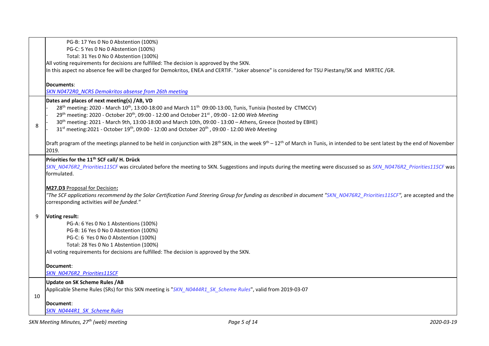|                                                                                                                                                 | PG-B: 17 Yes 0 No 0 Abstention (100%)                                                                                                                                                                             |  |  |  |
|-------------------------------------------------------------------------------------------------------------------------------------------------|-------------------------------------------------------------------------------------------------------------------------------------------------------------------------------------------------------------------|--|--|--|
|                                                                                                                                                 | PG-C: 5 Yes 0 No 0 Abstention (100%)                                                                                                                                                                              |  |  |  |
|                                                                                                                                                 | Total: 31 Yes 0 No 0 Abstention (100%)                                                                                                                                                                            |  |  |  |
|                                                                                                                                                 | All voting requirements for decisions are fulfilled: The decision is approved by the SKN.                                                                                                                         |  |  |  |
| In this aspect no absence fee will be charged for Demokritos, ENEA and CERTIF. "Joker absence" is considered for TSU Piestany/SK and MIRTEC/GR. |                                                                                                                                                                                                                   |  |  |  |
|                                                                                                                                                 |                                                                                                                                                                                                                   |  |  |  |
|                                                                                                                                                 | Documents:<br><b>SKN N0472R0 NCRS Demokritos absense from 26th meeting</b>                                                                                                                                        |  |  |  |
|                                                                                                                                                 |                                                                                                                                                                                                                   |  |  |  |
|                                                                                                                                                 | Dates and places of next meeting(s) /AB, VD<br>28 <sup>th</sup> meeting: 2020 - March 10 <sup>th</sup> , 13:00-18:00 and March 11 <sup>th</sup> 09:00-13:00, Tunis, Tunisia (hosted by CTMCCV)                    |  |  |  |
|                                                                                                                                                 | 29th meeting: 2020 - October 20 <sup>th</sup> , 09:00 - 12:00 and October 21 <sup>st</sup> , 09:00 - 12:00 Web Meeting                                                                                            |  |  |  |
|                                                                                                                                                 | 30 <sup>th</sup> meeting: 2021 - March 9th, 13:00-18:00 and March 10th, 09:00 - 13:00 - Athens, Greece (hosted by EBHE)                                                                                           |  |  |  |
| 8                                                                                                                                               | 31 <sup>st</sup> meeting:2021 - October 19 <sup>th</sup> , 09:00 - 12:00 and October 20 <sup>th</sup> , 09:00 - 12:00 Web Meeting                                                                                 |  |  |  |
|                                                                                                                                                 |                                                                                                                                                                                                                   |  |  |  |
|                                                                                                                                                 | Draft program of the meetings planned to be held in conjunction with 28 <sup>th</sup> SKN, in the week 9 <sup>th</sup> – 12 <sup>th</sup> of March in Tunis, in intended to be sent latest by the end of November |  |  |  |
|                                                                                                                                                 | 2019.                                                                                                                                                                                                             |  |  |  |
|                                                                                                                                                 | Priorities for the 11 <sup>th</sup> SCF call/ H. Drück                                                                                                                                                            |  |  |  |
|                                                                                                                                                 | SKN_N0476R2_Priorities11SCF was circulated before the meeting to SKN. Suggestions and inputs during the meeting were discussed so as SKN_N0476R2_Priorities11SCF was                                              |  |  |  |
|                                                                                                                                                 | formulated.                                                                                                                                                                                                       |  |  |  |
|                                                                                                                                                 |                                                                                                                                                                                                                   |  |  |  |
|                                                                                                                                                 | M27.D3 Proposal for Decision:                                                                                                                                                                                     |  |  |  |
|                                                                                                                                                 | "The SCF applications recommend by the Solar Certification Fund Steering Group for funding as described in document "SKN N0476R2 Priorities11SCF", are accepted and the                                           |  |  |  |
|                                                                                                                                                 | corresponding activities will be funded."                                                                                                                                                                         |  |  |  |
|                                                                                                                                                 |                                                                                                                                                                                                                   |  |  |  |
| 9                                                                                                                                               | Voting result:                                                                                                                                                                                                    |  |  |  |
|                                                                                                                                                 | PG-A: 6 Yes 0 No 1 Abstentions (100%)<br>PG-B: 16 Yes 0 No 0 Abstention (100%)                                                                                                                                    |  |  |  |
|                                                                                                                                                 |                                                                                                                                                                                                                   |  |  |  |
|                                                                                                                                                 | PG-C: 6 Yes 0 No 0 Abstention (100%)                                                                                                                                                                              |  |  |  |
|                                                                                                                                                 | Total: 28 Yes 0 No 1 Abstention (100%)                                                                                                                                                                            |  |  |  |
|                                                                                                                                                 | All voting requirements for decisions are fulfilled: The decision is approved by the SKN.                                                                                                                         |  |  |  |
|                                                                                                                                                 | Document:                                                                                                                                                                                                         |  |  |  |
|                                                                                                                                                 | <b>SKN N0476R2 Priorities11SCF</b>                                                                                                                                                                                |  |  |  |
|                                                                                                                                                 | <b>Update on SK Scheme Rules / AB</b>                                                                                                                                                                             |  |  |  |
|                                                                                                                                                 | Applicable Sheme Rules (SRs) for this SKN meeting is "SKN_N0444R1_SK_Scheme Rules", valid from 2019-03-07                                                                                                         |  |  |  |
| 10                                                                                                                                              |                                                                                                                                                                                                                   |  |  |  |
|                                                                                                                                                 | Document:                                                                                                                                                                                                         |  |  |  |
|                                                                                                                                                 | <b>SKN N0444R1 SK Scheme Rules</b>                                                                                                                                                                                |  |  |  |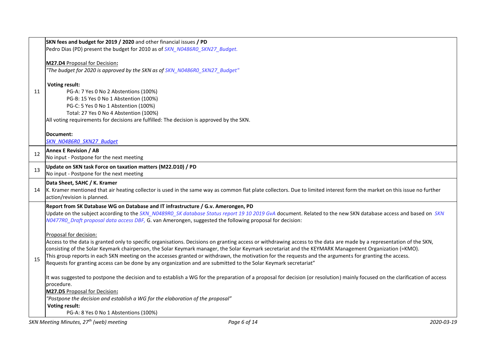|                                                | SKN fees and budget for 2019 / 2020 and other financial issues / PD                                                                                                                        |  |  |
|------------------------------------------------|--------------------------------------------------------------------------------------------------------------------------------------------------------------------------------------------|--|--|
|                                                | Pedro Dias (PD) present the budget for 2010 as of SKN N0486R0 SKN27 Budget.                                                                                                                |  |  |
|                                                |                                                                                                                                                                                            |  |  |
|                                                | M27.D4 Proposal for Decision:                                                                                                                                                              |  |  |
|                                                | "The budget for 2020 is approved by the SKN as of SKN_N0486R0_SKN27_Budget"                                                                                                                |  |  |
|                                                | <b>Voting result:</b>                                                                                                                                                                      |  |  |
| 11                                             | PG-A: 7 Yes 0 No 2 Abstentions (100%)                                                                                                                                                      |  |  |
|                                                | PG-B: 15 Yes 0 No 1 Abstention (100%)                                                                                                                                                      |  |  |
|                                                | PG-C: 5 Yes 0 No 1 Abstention (100%)                                                                                                                                                       |  |  |
|                                                | Total: 27 Yes 0 No 4 Abstention (100%)                                                                                                                                                     |  |  |
|                                                | All voting requirements for decisions are fulfilled: The decision is approved by the SKN.                                                                                                  |  |  |
|                                                | Document:                                                                                                                                                                                  |  |  |
|                                                | SKN N0486R0 SKN27 Budget                                                                                                                                                                   |  |  |
|                                                | <b>Annex E Revision / AB</b>                                                                                                                                                               |  |  |
| 12<br>No input - Postpone for the next meeting |                                                                                                                                                                                            |  |  |
| 13                                             | Update on SKN task Force on taxation matters (M22.D10) / PD                                                                                                                                |  |  |
|                                                | No input - Postpone for the next meeting                                                                                                                                                   |  |  |
|                                                | Data Sheet, SAHC / K. Kramer                                                                                                                                                               |  |  |
| 14                                             | K. Kramer mentioned that air heating collector is used in the same way as common flat plate collectors. Due to limited interest form the market on this issue no further                   |  |  |
|                                                | action/revision is planned.                                                                                                                                                                |  |  |
|                                                | Report from SK Database WG on Database and IT infrastructure / G.v. Amerongen, PD                                                                                                          |  |  |
|                                                | Update on the subject according to the SKN_N0489R0_SK database Status report 19 10 2019 GvA document. Related to the new SKN database access and based on SKN                              |  |  |
|                                                | N0477R0 Draft proposal data access DBF, G. van Amerongen, suggested the following proposal for decision:                                                                                   |  |  |
|                                                | Proposal for decision:                                                                                                                                                                     |  |  |
|                                                | Access to the data is granted only to specific organisations. Decisions on granting access or withdrawing access to the data are made by a representation of the SKN,                      |  |  |
|                                                | consisting of the Solar Keymark chairperson, the Solar Keymark manager, the Solar Keymark secretariat and the KEYMARK Management Organization (=KMO).                                      |  |  |
|                                                | This group reports in each SKN meeting on the accesses granted or withdrawn, the motivation for the requests and the arguments for granting the access.                                    |  |  |
| 15                                             | Requests for granting access can be done by any organization and are submitted to the Solar Keymark secretariat"                                                                           |  |  |
|                                                |                                                                                                                                                                                            |  |  |
|                                                | It was suggested to postpone the decision and to establish a WG for the preparation of a proposal for decision (or resolution) mainly focused on the clarification of access<br>procedure. |  |  |
|                                                | M27.D5 Proposal for Decision:                                                                                                                                                              |  |  |
|                                                | "Postpone the decision and establish a WG for the elaboration of the proposal"                                                                                                             |  |  |
|                                                | <b>Voting result:</b>                                                                                                                                                                      |  |  |
|                                                | PG-A: 8 Yes 0 No 1 Abstentions (100%)                                                                                                                                                      |  |  |
|                                                | SKN Meeting Minutes, 27 <sup>th</sup> (web) meeting<br>2020-03-19<br>Page 6 of 14                                                                                                          |  |  |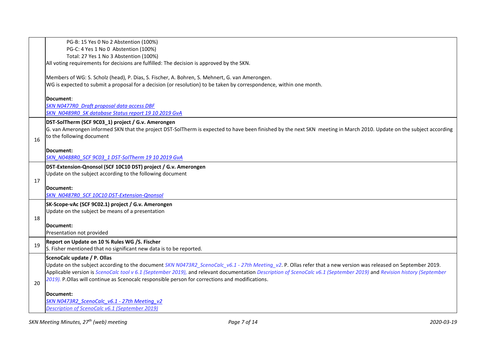|                                                                                                                     | PG-B: 15 Yes 0 No 2 Abstention (100%)                                                                                                                                  |  |  |  |  |  |
|---------------------------------------------------------------------------------------------------------------------|------------------------------------------------------------------------------------------------------------------------------------------------------------------------|--|--|--|--|--|
|                                                                                                                     | PG-C: 4 Yes 1 No 0 Abstention (100%)                                                                                                                                   |  |  |  |  |  |
| Total: 27 Yes 1 No 3 Abstention (100%)                                                                              |                                                                                                                                                                        |  |  |  |  |  |
| All voting requirements for decisions are fulfilled: The decision is approved by the SKN.                           |                                                                                                                                                                        |  |  |  |  |  |
| Members of WG: S. Scholz (head), P. Dias, S. Fischer, A. Bohren, S. Mehnert, G. van Amerongen.                      |                                                                                                                                                                        |  |  |  |  |  |
| WG is expected to submit a proposal for a decision (or resolution) to be taken by correspondence, within one month. |                                                                                                                                                                        |  |  |  |  |  |
|                                                                                                                     |                                                                                                                                                                        |  |  |  |  |  |
|                                                                                                                     | Document:                                                                                                                                                              |  |  |  |  |  |
|                                                                                                                     | SKN N0477R0 Draft proposal data access DBF                                                                                                                             |  |  |  |  |  |
|                                                                                                                     | SKN N0489R0 SK database Status report 19 10 2019 GvA                                                                                                                   |  |  |  |  |  |
|                                                                                                                     | DST-SolTherm (SCF 9C03_1) project / G.v. Amerongen                                                                                                                     |  |  |  |  |  |
|                                                                                                                     | G. van Amerongen informed SKN that the project DST-SolTherm is expected to have been finished by the next SKN meeting in March 2010. Update on the subject according   |  |  |  |  |  |
| 16                                                                                                                  | to the following document                                                                                                                                              |  |  |  |  |  |
|                                                                                                                     |                                                                                                                                                                        |  |  |  |  |  |
|                                                                                                                     | Document:<br>SKN N0488R0 SCF 9C03 1 DST-SolTherm 19 10 2019 GvA                                                                                                        |  |  |  |  |  |
|                                                                                                                     |                                                                                                                                                                        |  |  |  |  |  |
|                                                                                                                     | DST-Extension-Qnonsol (SCF 10C10 DST) project / G.v. Amerongen                                                                                                         |  |  |  |  |  |
| Update on the subject according to the following document<br>17                                                     |                                                                                                                                                                        |  |  |  |  |  |
|                                                                                                                     | Document:                                                                                                                                                              |  |  |  |  |  |
|                                                                                                                     | SKN N0487R0 SCF 10C10 DST-Extension-Qnonsol                                                                                                                            |  |  |  |  |  |
|                                                                                                                     | SK-Scope-vAc (SCF 9C02.1) project / G.v. Amerongen                                                                                                                     |  |  |  |  |  |
| Update on the subject be means of a presentation                                                                    |                                                                                                                                                                        |  |  |  |  |  |
| 18                                                                                                                  |                                                                                                                                                                        |  |  |  |  |  |
|                                                                                                                     | Document:                                                                                                                                                              |  |  |  |  |  |
|                                                                                                                     | Presentation not provided                                                                                                                                              |  |  |  |  |  |
| 19                                                                                                                  | Report on Update on 10 % Rules WG /S. Fischer                                                                                                                          |  |  |  |  |  |
|                                                                                                                     | S. Fisher mentioned that no significant new data is to be reported.                                                                                                    |  |  |  |  |  |
|                                                                                                                     | ScenoCalc update / P. Ollas                                                                                                                                            |  |  |  |  |  |
|                                                                                                                     | Update on the subject according to the document SKN N0473R2_ScenoCalc_v6.1 - 27th Meeting_v2. P. Ollas refer that a new version was released on September 2019.        |  |  |  |  |  |
|                                                                                                                     | Applicable version is ScenoCalc tool v 6.1 (September 2019), and relevant documentation Description of ScenoCalc v6.1 (September 2019) and Revision history (September |  |  |  |  |  |
| 20                                                                                                                  | 2019). P.Ollas will continue as Scenocalc responsible person for corrections and modifications.                                                                        |  |  |  |  |  |
|                                                                                                                     | Document:                                                                                                                                                              |  |  |  |  |  |
|                                                                                                                     | SKN N0473R2 ScenoCalc v6.1 - 27th Meeting v2                                                                                                                           |  |  |  |  |  |
|                                                                                                                     | Description of ScenoCalc v6.1 (September 2019)                                                                                                                         |  |  |  |  |  |
|                                                                                                                     |                                                                                                                                                                        |  |  |  |  |  |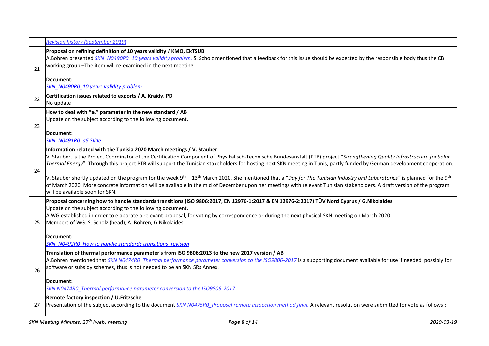|    | <b>Revision history (September 2019)</b>                                                                                                                                                                                                                                                                                                                                                                                                                                                                                                                                                                                                                                                                                                                                                                                                                          |  |  |  |  |
|----|-------------------------------------------------------------------------------------------------------------------------------------------------------------------------------------------------------------------------------------------------------------------------------------------------------------------------------------------------------------------------------------------------------------------------------------------------------------------------------------------------------------------------------------------------------------------------------------------------------------------------------------------------------------------------------------------------------------------------------------------------------------------------------------------------------------------------------------------------------------------|--|--|--|--|
| 21 | Proposal on refining definition of 10 years validity / KMO, EkTSUB<br>A.Bohren presented SKN_N0490R0_10 years validity problem. S. Scholz mentioned that a feedback for this issue should be expected by the responsible body thus the CB<br>working group-The item will re-examined in the next meeting.                                                                                                                                                                                                                                                                                                                                                                                                                                                                                                                                                         |  |  |  |  |
|    | Document:<br>SKN N0490R0 10 years validity problem                                                                                                                                                                                                                                                                                                                                                                                                                                                                                                                                                                                                                                                                                                                                                                                                                |  |  |  |  |
| 22 | Certification issues related to exports / A. Kraidy, PD<br>No update                                                                                                                                                                                                                                                                                                                                                                                                                                                                                                                                                                                                                                                                                                                                                                                              |  |  |  |  |
| 23 | How to deal with "as" parameter in the new standard / AB<br>Update on the subject according to the following document.<br>Document:<br>SKN N0491R0 a5 Slide                                                                                                                                                                                                                                                                                                                                                                                                                                                                                                                                                                                                                                                                                                       |  |  |  |  |
| 24 | Information related with the Tunisia 2020 March meetings / V. Stauber<br>V. Stauber, is the Project Coordinator of the Certification Component of Physikalisch-Technische Bundesanstalt (PTB) project "Strengthening Quality Infrastructure for Solar<br>Thermal Energy". Through this project PTB will support the Tunisian stakeholders for hosting next SKN meeting in Tunis, partly funded by German development cooperation.<br>V. Stauber shortly updated on the program for the week 9 <sup>th</sup> – 13 <sup>th</sup> March 2020. She mentioned that a "Day for The Tunisian Industry and Laboratories" is planned for the 9 <sup>th</sup><br>of March 2020. More concrete information will be available in the mid of December upon her meetings with relevant Tunisian stakeholders. A draft version of the program<br>will be available soon for SKN. |  |  |  |  |
| 25 | Proposal concerning how to handle standards transitions (ISO 9806:2017, EN 12976-1:2017 & EN 12976-2:2017) TÜV Nord Cyprus / G.Nikolaides<br>Update on the subject according to the following document.<br>A WG established in order to elaborate a relevant proposal, for voting by correspondence or during the next physical SKN meeting on March 2020.<br>Members of WG: S. Scholz (head), A. Bohren, G. Nikolaides<br>Document:<br><b>SKN N0492R0 How to handle standards transitions revision</b>                                                                                                                                                                                                                                                                                                                                                           |  |  |  |  |
| 26 | Translation of thermal performance parameter's from ISO 9806:2013 to the new 2017 version / AB<br>A.Bohren mentioned that SKN N0474R0 Thermal performance parameter conversion to the ISO9806-2017 is a supporting document available for use if needed, possibly for<br>software or subsidy schemes, thus is not needed to be an SKN SRs Annex.<br> Document:<br>SKN N0474R0 Thermal performance parameter conversion to the ISO9806-2017                                                                                                                                                                                                                                                                                                                                                                                                                        |  |  |  |  |
| 27 | <b>Remote factory inspection / U.Fritzsche</b><br>Presentation of the subject according to the document SKN N0475R0_Proposal remote inspection method final. A relevant resolution were submitted for vote as follows :                                                                                                                                                                                                                                                                                                                                                                                                                                                                                                                                                                                                                                           |  |  |  |  |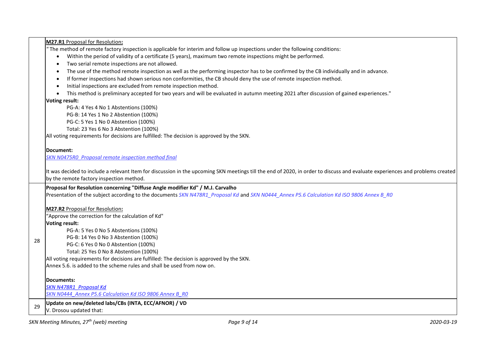| <b>M27.R1</b> Proposal for Resolution:<br>"The method of remote factory inspection is applicable for interim and follow up inspections under the following conditions:<br>Within the period of validity of a certificate (5 years), maximum two remote inspections might be performed.<br>$\bullet$<br>Two serial remote inspections are not allowed.<br>$\bullet$<br>The use of the method remote inspection as well as the performing inspector has to be confirmed by the CB individually and in advance.<br>$\bullet$<br>If former inspections had shown serious non conformities, the CB should deny the use of remote inspection method.<br>$\bullet$<br>Initial inspections are excluded from remote inspection method.<br>$\bullet$<br>This method is preliminary accepted for two years and will be evaluated in autumn meeting 2021 after discussion of gained experiences."<br>$\bullet$<br>Voting result:<br>PG-A: 4 Yes 4 No 1 Abstentions (100%)<br>PG-B: 14 Yes 1 No 2 Abstention (100%)<br>PG-C: 5 Yes 1 No 0 Abstention (100%) |  |  |  |  |
|-------------------------------------------------------------------------------------------------------------------------------------------------------------------------------------------------------------------------------------------------------------------------------------------------------------------------------------------------------------------------------------------------------------------------------------------------------------------------------------------------------------------------------------------------------------------------------------------------------------------------------------------------------------------------------------------------------------------------------------------------------------------------------------------------------------------------------------------------------------------------------------------------------------------------------------------------------------------------------------------------------------------------------------------------|--|--|--|--|
|                                                                                                                                                                                                                                                                                                                                                                                                                                                                                                                                                                                                                                                                                                                                                                                                                                                                                                                                                                                                                                                 |  |  |  |  |
|                                                                                                                                                                                                                                                                                                                                                                                                                                                                                                                                                                                                                                                                                                                                                                                                                                                                                                                                                                                                                                                 |  |  |  |  |
|                                                                                                                                                                                                                                                                                                                                                                                                                                                                                                                                                                                                                                                                                                                                                                                                                                                                                                                                                                                                                                                 |  |  |  |  |
|                                                                                                                                                                                                                                                                                                                                                                                                                                                                                                                                                                                                                                                                                                                                                                                                                                                                                                                                                                                                                                                 |  |  |  |  |
|                                                                                                                                                                                                                                                                                                                                                                                                                                                                                                                                                                                                                                                                                                                                                                                                                                                                                                                                                                                                                                                 |  |  |  |  |
|                                                                                                                                                                                                                                                                                                                                                                                                                                                                                                                                                                                                                                                                                                                                                                                                                                                                                                                                                                                                                                                 |  |  |  |  |
|                                                                                                                                                                                                                                                                                                                                                                                                                                                                                                                                                                                                                                                                                                                                                                                                                                                                                                                                                                                                                                                 |  |  |  |  |
|                                                                                                                                                                                                                                                                                                                                                                                                                                                                                                                                                                                                                                                                                                                                                                                                                                                                                                                                                                                                                                                 |  |  |  |  |
|                                                                                                                                                                                                                                                                                                                                                                                                                                                                                                                                                                                                                                                                                                                                                                                                                                                                                                                                                                                                                                                 |  |  |  |  |
|                                                                                                                                                                                                                                                                                                                                                                                                                                                                                                                                                                                                                                                                                                                                                                                                                                                                                                                                                                                                                                                 |  |  |  |  |
|                                                                                                                                                                                                                                                                                                                                                                                                                                                                                                                                                                                                                                                                                                                                                                                                                                                                                                                                                                                                                                                 |  |  |  |  |
| Total: 23 Yes 6 No 3 Abstention (100%)                                                                                                                                                                                                                                                                                                                                                                                                                                                                                                                                                                                                                                                                                                                                                                                                                                                                                                                                                                                                          |  |  |  |  |
| All voting requirements for decisions are fulfilled: The decision is approved by the SKN.                                                                                                                                                                                                                                                                                                                                                                                                                                                                                                                                                                                                                                                                                                                                                                                                                                                                                                                                                       |  |  |  |  |
|                                                                                                                                                                                                                                                                                                                                                                                                                                                                                                                                                                                                                                                                                                                                                                                                                                                                                                                                                                                                                                                 |  |  |  |  |
| Document:                                                                                                                                                                                                                                                                                                                                                                                                                                                                                                                                                                                                                                                                                                                                                                                                                                                                                                                                                                                                                                       |  |  |  |  |
| SKN N0475R0 Proposal remote inspection method final                                                                                                                                                                                                                                                                                                                                                                                                                                                                                                                                                                                                                                                                                                                                                                                                                                                                                                                                                                                             |  |  |  |  |
|                                                                                                                                                                                                                                                                                                                                                                                                                                                                                                                                                                                                                                                                                                                                                                                                                                                                                                                                                                                                                                                 |  |  |  |  |
| It was decided to include a relevant Item for discussion in the upcoming SKN meetings till the end of 2020, in order to discuss and evaluate experiences and problems created                                                                                                                                                                                                                                                                                                                                                                                                                                                                                                                                                                                                                                                                                                                                                                                                                                                                   |  |  |  |  |
| by the remote factory inspection method.                                                                                                                                                                                                                                                                                                                                                                                                                                                                                                                                                                                                                                                                                                                                                                                                                                                                                                                                                                                                        |  |  |  |  |
| Proposal for Resolution concerning "Diffuse Angle modifier Kd" / M.J. Carvalho                                                                                                                                                                                                                                                                                                                                                                                                                                                                                                                                                                                                                                                                                                                                                                                                                                                                                                                                                                  |  |  |  |  |
| Presentation of the subject according to the documents SKN N478R1_Proposal Kd and SKN N0444_Annex P5.6 Calculation Kd ISO 9806 Annex B_RO                                                                                                                                                                                                                                                                                                                                                                                                                                                                                                                                                                                                                                                                                                                                                                                                                                                                                                       |  |  |  |  |
|                                                                                                                                                                                                                                                                                                                                                                                                                                                                                                                                                                                                                                                                                                                                                                                                                                                                                                                                                                                                                                                 |  |  |  |  |
| M27.R2 Proposal for Resolution:                                                                                                                                                                                                                                                                                                                                                                                                                                                                                                                                                                                                                                                                                                                                                                                                                                                                                                                                                                                                                 |  |  |  |  |
| "Approve the correction for the calculation of Kd"                                                                                                                                                                                                                                                                                                                                                                                                                                                                                                                                                                                                                                                                                                                                                                                                                                                                                                                                                                                              |  |  |  |  |
| Voting result:                                                                                                                                                                                                                                                                                                                                                                                                                                                                                                                                                                                                                                                                                                                                                                                                                                                                                                                                                                                                                                  |  |  |  |  |
| PG-A: 5 Yes 0 No 5 Abstentions (100%)                                                                                                                                                                                                                                                                                                                                                                                                                                                                                                                                                                                                                                                                                                                                                                                                                                                                                                                                                                                                           |  |  |  |  |
| PG-B: 14 Yes 0 No 3 Abstention (100%)                                                                                                                                                                                                                                                                                                                                                                                                                                                                                                                                                                                                                                                                                                                                                                                                                                                                                                                                                                                                           |  |  |  |  |
| 28<br>PG-C: 6 Yes 0 No 0 Abstention (100%)                                                                                                                                                                                                                                                                                                                                                                                                                                                                                                                                                                                                                                                                                                                                                                                                                                                                                                                                                                                                      |  |  |  |  |
| Total: 25 Yes 0 No 8 Abstention (100%)                                                                                                                                                                                                                                                                                                                                                                                                                                                                                                                                                                                                                                                                                                                                                                                                                                                                                                                                                                                                          |  |  |  |  |
| All voting requirements for decisions are fulfilled: The decision is approved by the SKN.                                                                                                                                                                                                                                                                                                                                                                                                                                                                                                                                                                                                                                                                                                                                                                                                                                                                                                                                                       |  |  |  |  |
| Annex 5.6. is added to the scheme rules and shall be used from now on.                                                                                                                                                                                                                                                                                                                                                                                                                                                                                                                                                                                                                                                                                                                                                                                                                                                                                                                                                                          |  |  |  |  |
|                                                                                                                                                                                                                                                                                                                                                                                                                                                                                                                                                                                                                                                                                                                                                                                                                                                                                                                                                                                                                                                 |  |  |  |  |
| Documents:                                                                                                                                                                                                                                                                                                                                                                                                                                                                                                                                                                                                                                                                                                                                                                                                                                                                                                                                                                                                                                      |  |  |  |  |
| SKN N478R1 Proposal Kd                                                                                                                                                                                                                                                                                                                                                                                                                                                                                                                                                                                                                                                                                                                                                                                                                                                                                                                                                                                                                          |  |  |  |  |
| SKN N0444 Annex P5.6 Calculation Kd ISO 9806 Annex B R0                                                                                                                                                                                                                                                                                                                                                                                                                                                                                                                                                                                                                                                                                                                                                                                                                                                                                                                                                                                         |  |  |  |  |
| Update on new/deleted labs/CBs (INTA, ECC/AFNOR) / VD                                                                                                                                                                                                                                                                                                                                                                                                                                                                                                                                                                                                                                                                                                                                                                                                                                                                                                                                                                                           |  |  |  |  |
| 29<br>V. Drosou updated that:                                                                                                                                                                                                                                                                                                                                                                                                                                                                                                                                                                                                                                                                                                                                                                                                                                                                                                                                                                                                                   |  |  |  |  |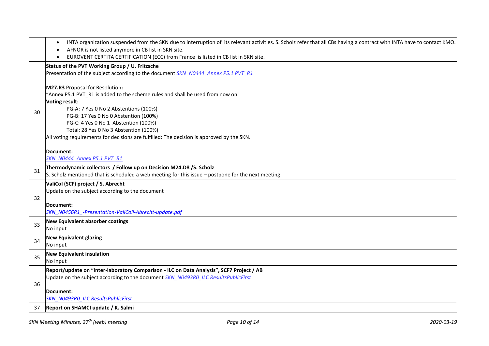|    | INTA organization suspended from the SKN due to interruption of its relevant activities. S. Scholz refer that all CBs having a contract with INTA have to contact KMO.<br>AFNOR is not listed anymore in CB list in SKN site. |
|----|-------------------------------------------------------------------------------------------------------------------------------------------------------------------------------------------------------------------------------|
|    | EUROVENT CERTITA CERTIFICATION (ECC) from France is listed in CB list in SKN site.                                                                                                                                            |
|    | Status of the PVT Working Group / U. Fritzsche<br>Presentation of the subject according to the document SKN_N0444_Annex P5.1 PVT_R1                                                                                           |
|    | <b>M27.R3</b> Proposal for Resolution:<br>"Annex P5.1 PVT_R1 is added to the scheme rules and shall be used from now on"<br><b>Voting result:</b>                                                                             |
| 30 | PG-A: 7 Yes 0 No 2 Abstentions (100%)<br>PG-B: 17 Yes 0 No 0 Abstention (100%)<br>PG-C: 4 Yes 0 No 1 Abstention (100%)                                                                                                        |
|    | Total: 28 Yes 0 No 3 Abstention (100%)<br>All voting requirements for decisions are fulfilled: The decision is approved by the SKN.                                                                                           |
|    | Document:<br>SKN N0444 Annex P5.1 PVT R1                                                                                                                                                                                      |
| 31 | Thermodynamic collectors / Follow up on Decision M24.D8 /S. Scholz<br>S. Scholz mentioned that is scheduled a web meeting for this issue – postpone for the next meeting                                                      |
|    | ValiCol (SCF) project / S. Abrecht<br>Update on the subject according to the document                                                                                                                                         |
| 32 | Document:<br>SKN N0456R1 -Presentation-ValiColl-Abrecht-update.pdf                                                                                                                                                            |
| 33 | New Equivalent absorber coatings<br>No input                                                                                                                                                                                  |
| 34 | <b>New Equivalent glazing</b><br>No input                                                                                                                                                                                     |
| 35 | <b>New Equivalent insulation</b><br>No input                                                                                                                                                                                  |
| 36 | Report/update on "Inter-laboratory Comparison - ILC on Data Analysis", SCF7 Project / AB<br>Update on the subject according to the document SKN N0493R0 ILC ResultsPublicFirst                                                |
|    | Document:<br><b>SKN N0493R0 ILC ResultsPublicFirst</b>                                                                                                                                                                        |
| 37 | Report on SHAMCI update / K. Salmi                                                                                                                                                                                            |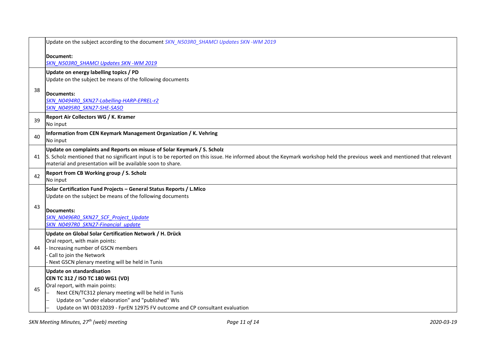|                                                                      | Update on the subject according to the document SKN N503R0 SHAMCI Updates SKN -WM 2019                                                                                                                                                 |  |  |  |
|----------------------------------------------------------------------|----------------------------------------------------------------------------------------------------------------------------------------------------------------------------------------------------------------------------------------|--|--|--|
|                                                                      | Document:                                                                                                                                                                                                                              |  |  |  |
|                                                                      | SKN N503R0 SHAMCI Updates SKN - WM 2019                                                                                                                                                                                                |  |  |  |
|                                                                      | Update on energy labelling topics / PD                                                                                                                                                                                                 |  |  |  |
|                                                                      | Update on the subject be means of the following documents                                                                                                                                                                              |  |  |  |
| 38                                                                   | Documents:                                                                                                                                                                                                                             |  |  |  |
|                                                                      | SKN NO494RO SKN27-Labelling-HARP-EPREL-r2                                                                                                                                                                                              |  |  |  |
|                                                                      | SKN N0495R0 SKN27-SHE-SASO                                                                                                                                                                                                             |  |  |  |
| 39                                                                   | Report Air Collectors WG / K. Kramer                                                                                                                                                                                                   |  |  |  |
|                                                                      | No input                                                                                                                                                                                                                               |  |  |  |
| 40                                                                   | Information from CEN Keymark Management Organization / K. Vehring                                                                                                                                                                      |  |  |  |
|                                                                      | No input                                                                                                                                                                                                                               |  |  |  |
|                                                                      | Update on complaints and Reports on misuse of Solar Keymark / S. Scholz                                                                                                                                                                |  |  |  |
| 41                                                                   | S. Scholz mentioned that no significant input is to be reported on this issue. He informed about the Keymark workshop held the previous week and mentioned that relevant<br>material and presentation will be available soon to share. |  |  |  |
|                                                                      | <b>Report from CB Working group / S. Scholz</b>                                                                                                                                                                                        |  |  |  |
| 42                                                                   | No input                                                                                                                                                                                                                               |  |  |  |
| Solar Certification Fund Projects - General Status Reports / L. Mico |                                                                                                                                                                                                                                        |  |  |  |
|                                                                      | Update on the subject be means of the following documents                                                                                                                                                                              |  |  |  |
| 43                                                                   |                                                                                                                                                                                                                                        |  |  |  |
|                                                                      | <b>Documents:</b>                                                                                                                                                                                                                      |  |  |  |
|                                                                      | SKN N0496R0 SKN27 SCF Project Update<br>SKN N0497R0 SKN27-Financial update                                                                                                                                                             |  |  |  |
|                                                                      | Update on Global Solar Certification Network / H. Drück                                                                                                                                                                                |  |  |  |
|                                                                      | Oral report, with main points:                                                                                                                                                                                                         |  |  |  |
| 44                                                                   | - Increasing number of GSCN members                                                                                                                                                                                                    |  |  |  |
|                                                                      | Call to join the Network                                                                                                                                                                                                               |  |  |  |
|                                                                      | Next GSCN plenary meeting will be held in Tunis                                                                                                                                                                                        |  |  |  |
|                                                                      | <b>Update on standardisation</b>                                                                                                                                                                                                       |  |  |  |
|                                                                      | CEN TC 312 / ISO TC 180 WG1 (VD)<br>Oral report, with main points:                                                                                                                                                                     |  |  |  |
| 45                                                                   | Next CEN/TC312 plenary meeting will be held in Tunis                                                                                                                                                                                   |  |  |  |
|                                                                      | Update on "under elaboration" and "published" WIs                                                                                                                                                                                      |  |  |  |
|                                                                      | Update on WI 00312039 - FprEN 12975 FV outcome and CP consultant evaluation                                                                                                                                                            |  |  |  |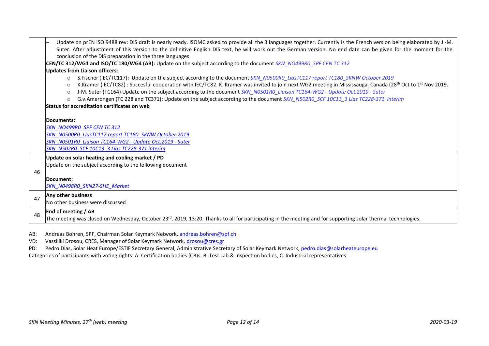|    | Update on prEN ISO 9488 rev: DIS draft is nearly ready. ISOMC asked to provide all the 3 languages together. Currently is the French version being elaborated by J.-M.<br>Suter. After adjustment of this version to the definitive English DIS text, he will work out the German version. No end date can be given for the moment for the<br>conclusion of the DIS preparation in the three languages.<br>CEN/TC 312/WG1 and ISO/TC 180/WG4 (AB): Update on the subject according to the document SKN_NO499RO_SPF CEN TC 312                                                                                                                                                     |  |  |  |  |
|----|-----------------------------------------------------------------------------------------------------------------------------------------------------------------------------------------------------------------------------------------------------------------------------------------------------------------------------------------------------------------------------------------------------------------------------------------------------------------------------------------------------------------------------------------------------------------------------------------------------------------------------------------------------------------------------------|--|--|--|--|
|    | <b>Updates from Liaison officers:</b>                                                                                                                                                                                                                                                                                                                                                                                                                                                                                                                                                                                                                                             |  |  |  |  |
|    | S.Fischer (IEC/TC117): Update on the subject according to the document SKN_N0500R0_LiasTC117 report TC180_SKNW October 2019<br>$\Omega$<br>K.Kramer (IEC/TC82) : Succesful cooperation with IEC/TC82. K. Kramer was invited to join next WG2 meeting in Mississauga, Canada (28 <sup>th</sup> Oct to 1 <sup>st</sup> Nov 2019.<br>$\circ$<br>J-M. Suter (TC164) Update on the subject according to the document SKN_N0501R0_Liaison TC164-WG2 - Update Oct.2019 - Suter<br>$\Omega$<br>G.v.Amerongen (TC 228 and TC371): Update on the subject according to the document SKN_N502RO_SCF 10C13_3 Lias TC228-371 interim<br>$\circ$<br>Status for accreditation certificates on web |  |  |  |  |
|    | Documents:                                                                                                                                                                                                                                                                                                                                                                                                                                                                                                                                                                                                                                                                        |  |  |  |  |
|    | <b>SKN NO499RO SPF CENTC 312</b>                                                                                                                                                                                                                                                                                                                                                                                                                                                                                                                                                                                                                                                  |  |  |  |  |
|    | SKN N0500R0 LiasTC117 report TC180 SKNW October 2019                                                                                                                                                                                                                                                                                                                                                                                                                                                                                                                                                                                                                              |  |  |  |  |
|    | SKN N0501R0 Liaison TC164-WG2 - Update Oct.2019 - Suter                                                                                                                                                                                                                                                                                                                                                                                                                                                                                                                                                                                                                           |  |  |  |  |
|    | SKN N502RO SCF 10C13 3 Lias TC228-371 interim                                                                                                                                                                                                                                                                                                                                                                                                                                                                                                                                                                                                                                     |  |  |  |  |
|    | Update on solar heating and cooling market / PD                                                                                                                                                                                                                                                                                                                                                                                                                                                                                                                                                                                                                                   |  |  |  |  |
|    | Update on the subject according to the following document                                                                                                                                                                                                                                                                                                                                                                                                                                                                                                                                                                                                                         |  |  |  |  |
| 46 |                                                                                                                                                                                                                                                                                                                                                                                                                                                                                                                                                                                                                                                                                   |  |  |  |  |
|    | Document:                                                                                                                                                                                                                                                                                                                                                                                                                                                                                                                                                                                                                                                                         |  |  |  |  |
|    | <b>SKN NO498RO SKN27-SHE Market</b>                                                                                                                                                                                                                                                                                                                                                                                                                                                                                                                                                                                                                                               |  |  |  |  |
| 47 | Any other business                                                                                                                                                                                                                                                                                                                                                                                                                                                                                                                                                                                                                                                                |  |  |  |  |
|    | No other business were discussed                                                                                                                                                                                                                                                                                                                                                                                                                                                                                                                                                                                                                                                  |  |  |  |  |
| 48 | <b>End of meeting / AB</b>                                                                                                                                                                                                                                                                                                                                                                                                                                                                                                                                                                                                                                                        |  |  |  |  |
|    | The meeting was closed on Wednesday, October 23 <sup>rd</sup> , 2019, 13:20. Thanks to all for participating in the meeting and for supporting solar thermal technologies.                                                                                                                                                                                                                                                                                                                                                                                                                                                                                                        |  |  |  |  |

AB: Andreas Bohren, SPF, Chairman Solar Keymark Network, [andreas.bohren@spf.ch](mailto:andreas.bohren@spf.ch)

VD: Vassiliki Drosou, CRES, Manager of Solar Keymark Network, [drosou@cres.gr](mailto:drosou@cres.gr)

PD: Pedro Dias, Solar Heat Europe/ESTIF Secretary General, Administrative Secretary of Solar Keymark Network, [pedro.dias@solarheateurope.eu](mailto:pedro.dias@solarheateurope.eu)

Categories of participants with voting rights: A: Certification bodies (CB)s, B: Test Lab & Inspection bodies, C: Industrial representatives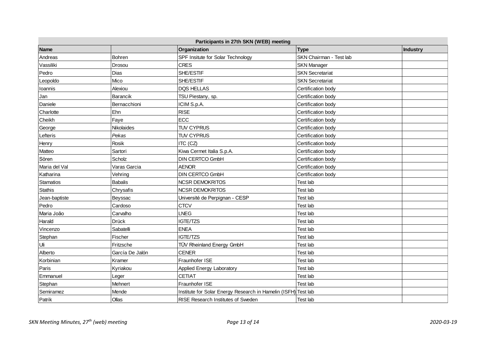| Participants in 27th SKN (WEB) meeting |                 |                                                                |                         |          |
|----------------------------------------|-----------------|----------------------------------------------------------------|-------------------------|----------|
| <b>Name</b>                            |                 | Organization                                                   | <b>Type</b>             | Industry |
| Andreas                                | Bohren          | SPF Insitute for Solar Technology                              | SKN Chairman - Test lab |          |
| Vassiliki                              | Drosou          | <b>CRES</b>                                                    | <b>SKN Manager</b>      |          |
| Pedro                                  | Dias            | SHE/ESTIF                                                      | <b>SKN Secretariat</b>  |          |
| Leopoldo                               | Mico            | SHE/ESTIF                                                      | <b>SKN Secretariat</b>  |          |
| Ioannis                                | Alexiou         | DQS HELLAS                                                     | Certification body      |          |
| Jan                                    | Barancik        | TSU Piestany, sp.                                              | Certification body      |          |
| Daniele                                | Bernacchioni    | ICIM S.p.A.                                                    | Certification body      |          |
| Charlotte                              | Ehn             | <b>RISE</b>                                                    | Certification body      |          |
| Cheikh                                 | Faye            | ECC                                                            | Certification body      |          |
| George                                 | Nikolaides      | <b>TUV CYPRUS</b>                                              | Certification body      |          |
| Lefteris                               | Pekas           | <b>TUV CYPRUS</b>                                              | Certification body      |          |
| Henry                                  | Rosik           | ITC (CZ)                                                       | Certification body      |          |
| Matteo                                 | Sartori         | Kiwa Cermet Italia S.p.A.                                      | Certification body      |          |
| Sören                                  | Scholz          | DIN CERTCO GmbH                                                | Certification body      |          |
| Maria del Val                          | Varas Garcia    | <b>AENOR</b>                                                   | Certification body      |          |
| Katharina                              | Vehring         | <b>DIN CERTCO GmbH</b>                                         | Certification body      |          |
| Stamatios                              | Babalis         | <b>NCSR DEMOKRITOS</b>                                         | Test lab                |          |
| <b>Stathis</b>                         | Chrysafis       | <b>NCSR DEMOKRITOS</b>                                         | Test lab                |          |
| Jean-baptiste                          | Beyssac         | Université de Perpignan - CESP                                 | Test lab                |          |
| Pedro                                  | Cardoso         | <b>CTCV</b>                                                    | Test lab                |          |
| Maria João                             | Carvalho        | <b>LNEG</b>                                                    | Test lab                |          |
| Harald                                 | <b>Drück</b>    | IGTE/TZS                                                       | Test lab                |          |
| Vincenzo                               | Sabatelli       | <b>ENEA</b>                                                    | Test lab                |          |
| Stephan                                | Fischer         | IGTE/TZS                                                       | <b>Test lab</b>         |          |
| Uli                                    | Fritzsche       | TÜV Rheinland Energy GmbH                                      | Test lab                |          |
| Alberto                                | García De Jalón | <b>CENER</b>                                                   | Test lab                |          |
| Korbinian                              | Kramer          | Fraunhofer ISE                                                 | Test lab                |          |
| Paris                                  | Kyriakou        | Applied Energy Laboratory                                      | Test lab                |          |
| Emmanuel                               | Leger           | CETIAT                                                         | Test lab                |          |
| Stephan                                | Mehnert         | Fraunhofer ISE                                                 | Test lab                |          |
| Semiramez                              | Mende           | Institute for Solar Energy Research in Hamelin (ISFH) Test lab |                         |          |
| Patrik                                 | Ollas           | RISE Research Institutes of Sweden                             | Test lab                |          |